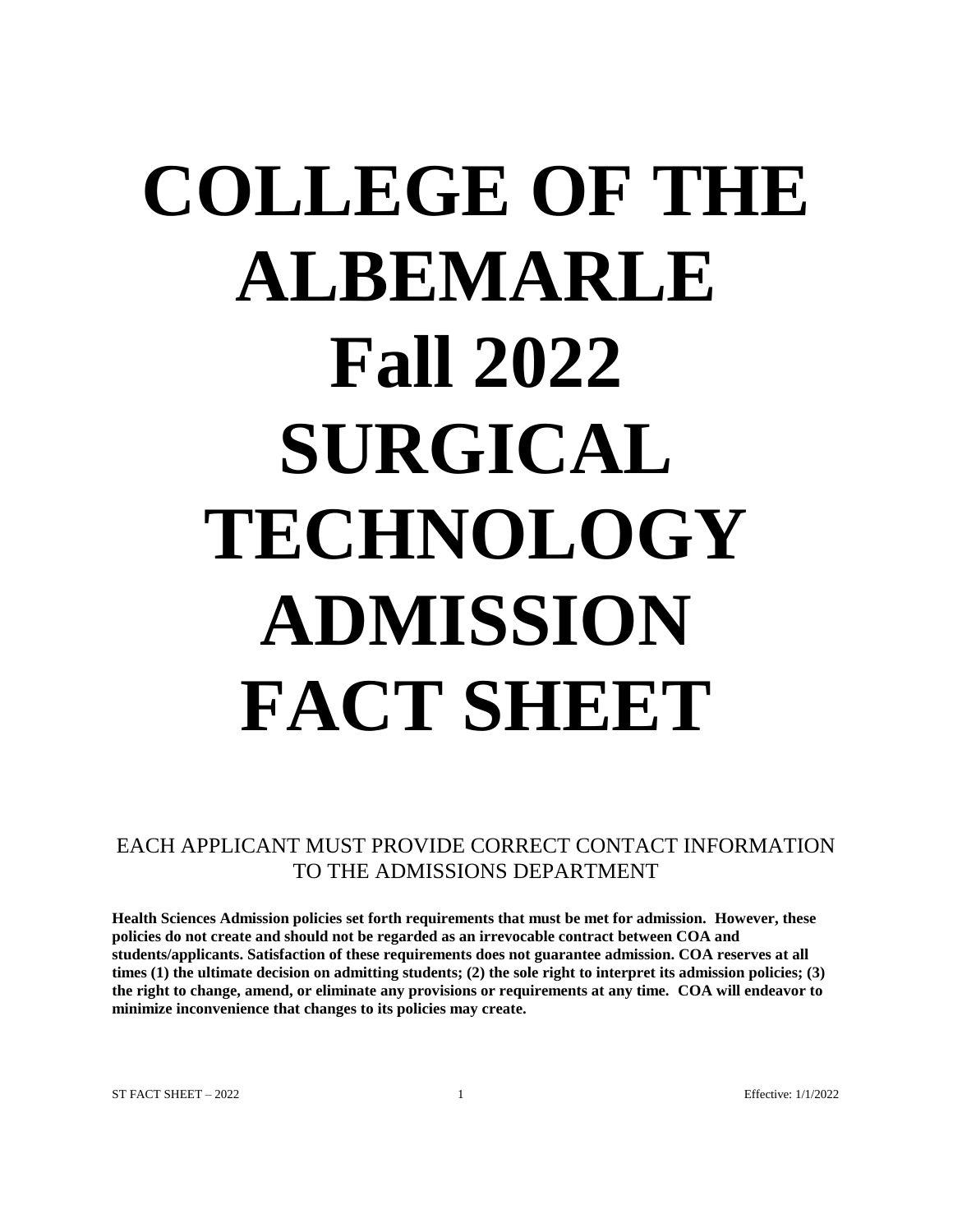# **COLLEGE OF THE ALBEMARLE Fall 2022 SURGICAL TECHNOLOGY ADMISSION FACT SHEET**

EACH APPLICANT MUST PROVIDE CORRECT CONTACT INFORMATION TO THE ADMISSIONS DEPARTMENT

**Health Sciences Admission policies set forth requirements that must be met for admission. However, these policies do not create and should not be regarded as an irrevocable contract between COA and students/applicants. Satisfaction of these requirements does not guarantee admission. COA reserves at all times (1) the ultimate decision on admitting students; (2) the sole right to interpret its admission policies; (3) the right to change, amend, or eliminate any provisions or requirements at any time. COA will endeavor to minimize inconvenience that changes to its policies may create.**

ST FACT SHEET  $-2022$  1 and  $\frac{1}{2022}$  Effective: 1/1/2022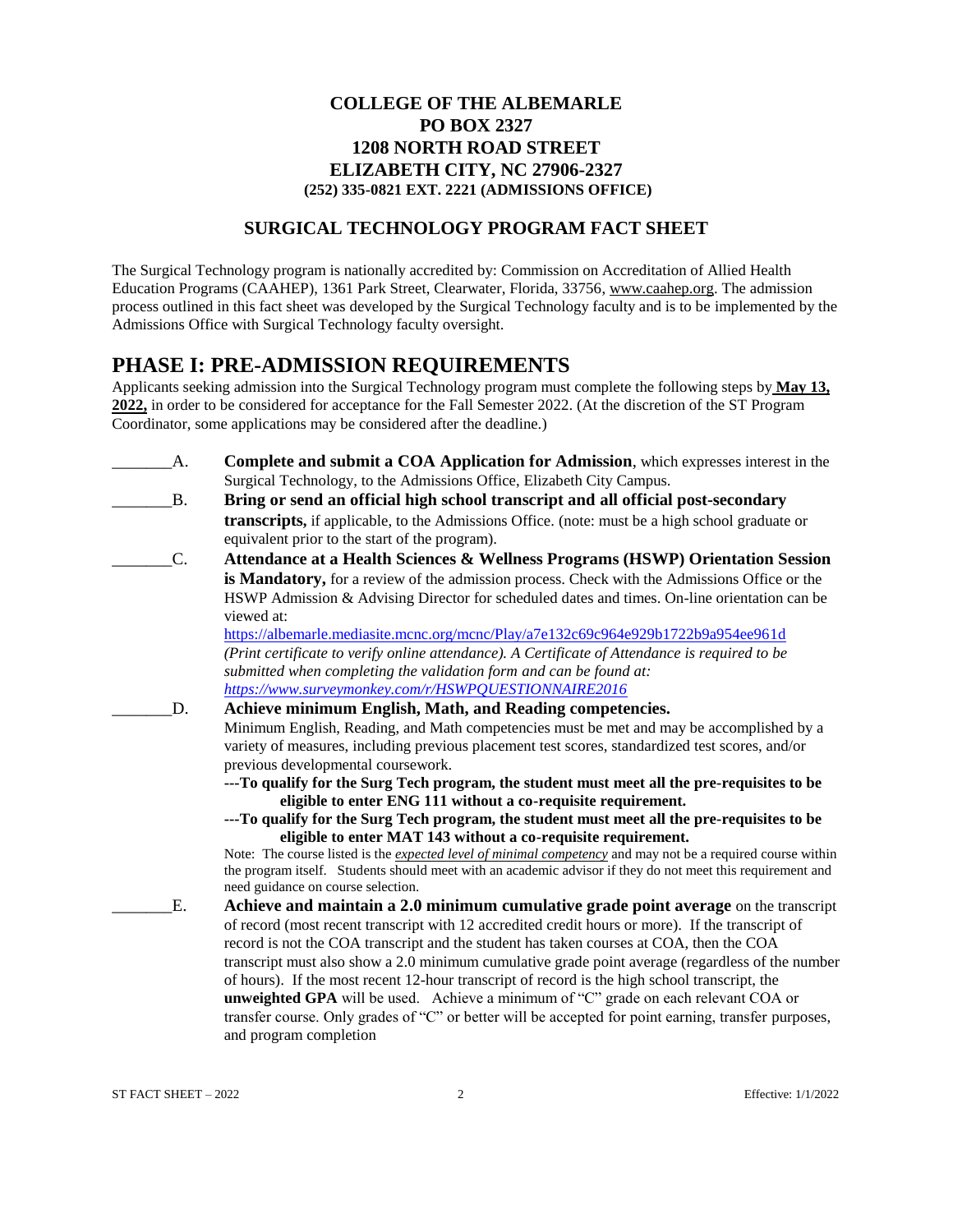## **COLLEGE OF THE ALBEMARLE PO BOX 2327 1208 NORTH ROAD STREET ELIZABETH CITY, NC 27906-2327 (252) 335-0821 EXT. 2221 (ADMISSIONS OFFICE)**

## **SURGICAL TECHNOLOGY PROGRAM FACT SHEET**

The Surgical Technology program is nationally accredited by: Commission on Accreditation of Allied Health Education Programs (CAAHEP), 1361 Park Street, Clearwater, Florida, 33756, [www.caahep.org.](http://www.caahep.org/) The admission process outlined in this fact sheet was developed by the Surgical Technology faculty and is to be implemented by the Admissions Office with Surgical Technology faculty oversight.

# **PHASE I: PRE-ADMISSION REQUIREMENTS**

Applicants seeking admission into the Surgical Technology program must complete the following steps by **May 13, 2022,** in order to be considered for acceptance for the Fall Semester 2022. (At the discretion of the ST Program Coordinator, some applications may be considered after the deadline.)

- \_\_\_\_\_\_\_A. **Complete and submit a COA Application for Admission**, which expresses interest in the Surgical Technology, to the Admissions Office, Elizabeth City Campus.
- \_\_\_\_\_\_\_B. **Bring or send an official high school transcript and all official post-secondary transcripts,** if applicable, to the Admissions Office. (note: must be a high school graduate or equivalent prior to the start of the program).
- \_\_\_\_\_\_\_C. **Attendance at a Health Sciences & Wellness Programs (HSWP) Orientation Session is Mandatory,** for a review of the admission process. Check with the Admissions Office or the HSWP Admission & Advising Director for scheduled dates and times. On-line orientation can be viewed at:

<https://albemarle.mediasite.mcnc.org/mcnc/Play/a7e132c69c964e929b1722b9a954ee961d> *(Print certificate to verify online attendance). A Certificate of Attendance is required to be submitted when completing the validation form and can be found at: <https://www.surveymonkey.com/r/HSWPQUESTIONNAIRE2016>*

- \_\_\_\_\_\_\_D. **Achieve minimum English, Math, and Reading competencies.** Minimum English, Reading, and Math competencies must be met and may be accomplished by a variety of measures, including previous placement test scores, standardized test scores, and/or previous developmental coursework.
	- **---To qualify for the Surg Tech program, the student must meet all the pre-requisites to be eligible to enter ENG 111 without a co-requisite requirement.**
	- **---To qualify for the Surg Tech program, the student must meet all the pre-requisites to be eligible to enter MAT 143 without a co-requisite requirement.**

Note: The course listed is the *expected level of minimal competency* and may not be a required course within the program itself. Students should meet with an academic advisor if they do not meet this requirement and need guidance on course selection.

\_\_\_\_\_\_\_E. **Achieve and maintain a 2.0 minimum cumulative grade point average** on the transcript of record (most recent transcript with 12 accredited credit hours or more). If the transcript of record is not the COA transcript and the student has taken courses at COA, then the COA transcript must also show a 2.0 minimum cumulative grade point average (regardless of the number of hours). If the most recent 12-hour transcript of record is the high school transcript, the **unweighted GPA** will be used. Achieve a minimum of "C" grade on each relevant COA or transfer course. Only grades of "C" or better will be accepted for point earning, transfer purposes, and program completion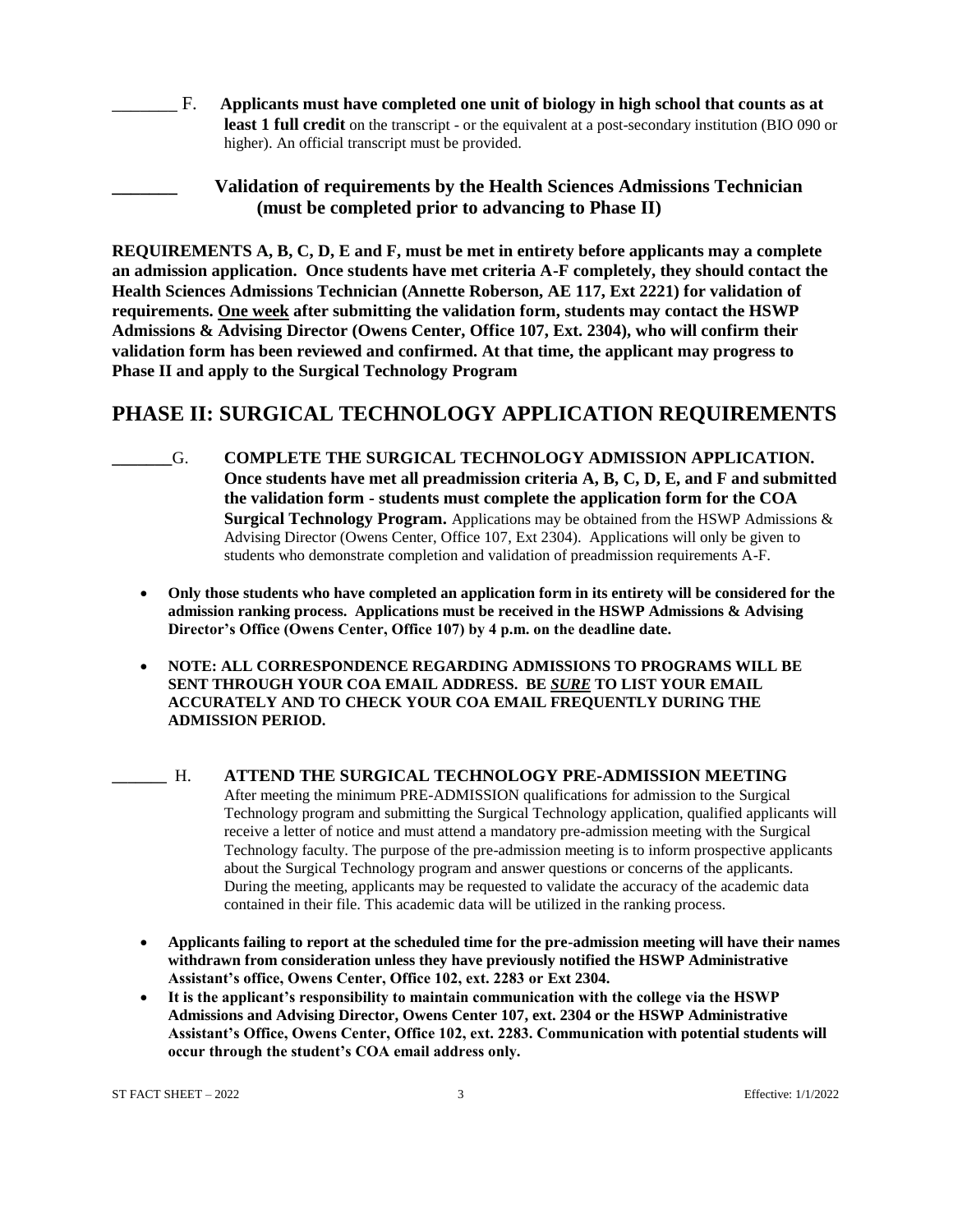\_\_\_\_\_\_\_ F. **Applicants must have completed one unit of biology in high school that counts as at least 1 full credit** on the transcript - or the equivalent at a post-secondary institution (BIO 090 or higher). An official transcript must be provided.

**\_\_\_\_\_\_\_ Validation of requirements by the Health Sciences Admissions Technician (must be completed prior to advancing to Phase II)**

**REQUIREMENTS A, B, C, D, E and F, must be met in entirety before applicants may a complete an admission application. Once students have met criteria A-F completely, they should contact the Health Sciences Admissions Technician (Annette Roberson, AE 117, Ext 2221) for validation of requirements. One week after submitting the validation form, students may contact the HSWP Admissions & Advising Director (Owens Center, Office 107, Ext. 2304), who will confirm their validation form has been reviewed and confirmed. At that time, the applicant may progress to Phase II and apply to the Surgical Technology Program**

# **PHASE II: SURGICAL TECHNOLOGY APPLICATION REQUIREMENTS**

- **\_\_\_\_\_\_\_**G. **COMPLETE THE SURGICAL TECHNOLOGY ADMISSION APPLICATION. Once students have met all preadmission criteria A, B, C, D, E, and F and submitted the validation form - students must complete the application form for the COA Surgical Technology Program.** Applications may be obtained from the HSWP Admissions & Advising Director (Owens Center, Office 107, Ext 2304). Applications will only be given to students who demonstrate completion and validation of preadmission requirements A-F.
	- **Only those students who have completed an application form in its entirety will be considered for the admission ranking process. Applications must be received in the HSWP Admissions & Advising Director's Office (Owens Center, Office 107) by 4 p.m. on the deadline date.**
	- **NOTE: ALL CORRESPONDENCE REGARDING ADMISSIONS TO PROGRAMS WILL BE SENT THROUGH YOUR COA EMAIL ADDRESS. BE** *SURE* **TO LIST YOUR EMAIL ACCURATELY AND TO CHECK YOUR COA EMAIL FREQUENTLY DURING THE ADMISSION PERIOD.**
- **\_\_\_\_\_\_\_** H. **ATTEND THE SURGICAL TECHNOLOGY PRE-ADMISSION MEETING** After meeting the minimum PRE-ADMISSION qualifications for admission to the Surgical Technology program and submitting the Surgical Technology application, qualified applicants will receive a letter of notice and must attend a mandatory pre-admission meeting with the Surgical Technology faculty. The purpose of the pre-admission meeting is to inform prospective applicants about the Surgical Technology program and answer questions or concerns of the applicants. During the meeting, applicants may be requested to validate the accuracy of the academic data contained in their file. This academic data will be utilized in the ranking process.
	- **Applicants failing to report at the scheduled time for the pre-admission meeting will have their names withdrawn from consideration unless they have previously notified the HSWP Administrative Assistant's office, Owens Center, Office 102, ext. 2283 or Ext 2304.**
	- **It is the applicant's responsibility to maintain communication with the college via the HSWP Admissions and Advising Director, Owens Center 107, ext. 2304 or the HSWP Administrative Assistant's Office, Owens Center, Office 102, ext. 2283. Communication with potential students will occur through the student's COA email address only.**

ST FACT SHEET – 2022 3 Effective: 1/1/2022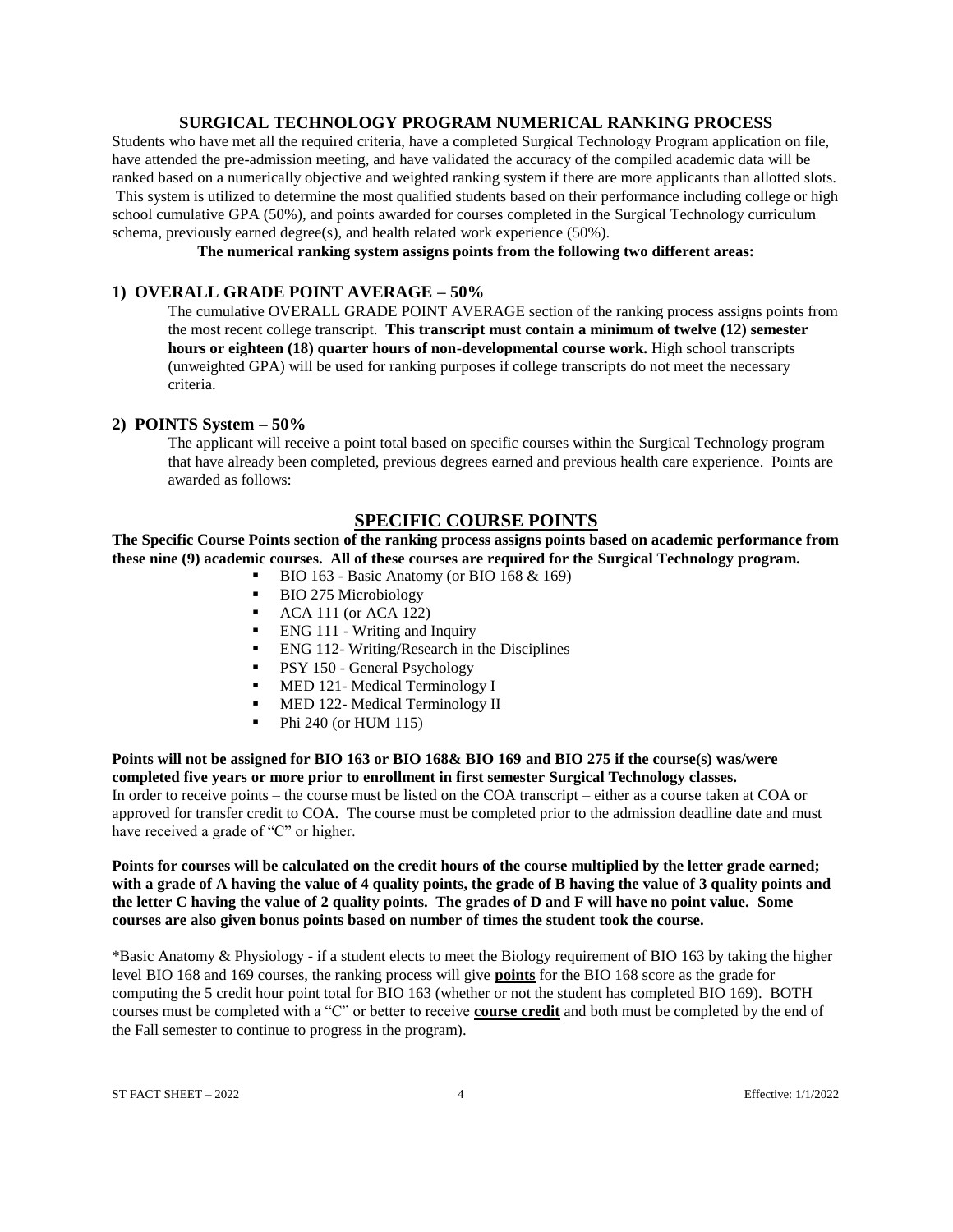#### **SURGICAL TECHNOLOGY PROGRAM NUMERICAL RANKING PROCESS**

Students who have met all the required criteria, have a completed Surgical Technology Program application on file, have attended the pre-admission meeting, and have validated the accuracy of the compiled academic data will be ranked based on a numerically objective and weighted ranking system if there are more applicants than allotted slots. This system is utilized to determine the most qualified students based on their performance including college or high school cumulative GPA (50%), and points awarded for courses completed in the Surgical Technology curriculum schema, previously earned degree(s), and health related work experience (50%).

**The numerical ranking system assigns points from the following two different areas:**

## **1) OVERALL GRADE POINT AVERAGE – 50%**

The cumulative OVERALL GRADE POINT AVERAGE section of the ranking process assigns points from the most recent college transcript. **This transcript must contain a minimum of twelve (12) semester hours or eighteen (18) quarter hours of non-developmental course work.** High school transcripts (unweighted GPA) will be used for ranking purposes if college transcripts do not meet the necessary criteria.

#### **2) POINTS System – 50%**

The applicant will receive a point total based on specific courses within the Surgical Technology program that have already been completed, previous degrees earned and previous health care experience. Points are awarded as follows:

## **SPECIFIC COURSE POINTS**

**The Specific Course Points section of the ranking process assigns points based on academic performance from these nine (9) academic courses. All of these courses are required for the Surgical Technology program.**

- BIO 163 Basic Anatomy (or BIO 168 & 169)
- BIO 275 Microbiology
- ACA 111 (or ACA 122)<br>FNG 111 Writing and 1
- ENG 111 Writing and Inquiry
- ENG 112- Writing/Research in the Disciplines
- **PSY 150 General Psychology**
- **MED 121- Medical Terminology I**
- **MED 122- Medical Terminology II**
- $\blacksquare$  Phi 240 (or HUM 115)

**Points will not be assigned for BIO 163 or BIO 168& BIO 169 and BIO 275 if the course(s) was/were completed five years or more prior to enrollment in first semester Surgical Technology classes.** In order to receive points – the course must be listed on the COA transcript – either as a course taken at COA or approved for transfer credit to COA. The course must be completed prior to the admission deadline date and must have received a grade of "C" or higher.

**Points for courses will be calculated on the credit hours of the course multiplied by the letter grade earned; with a grade of A having the value of 4 quality points, the grade of B having the value of 3 quality points and the letter C having the value of 2 quality points. The grades of D and F will have no point value. Some courses are also given bonus points based on number of times the student took the course.** 

\*Basic Anatomy & Physiology - if a student elects to meet the Biology requirement of BIO 163 by taking the higher level BIO 168 and 169 courses, the ranking process will give **points** for the BIO 168 score as the grade for computing the 5 credit hour point total for BIO 163 (whether or not the student has completed BIO 169). BOTH courses must be completed with a "C" or better to receive **course credit** and both must be completed by the end of the Fall semester to continue to progress in the program).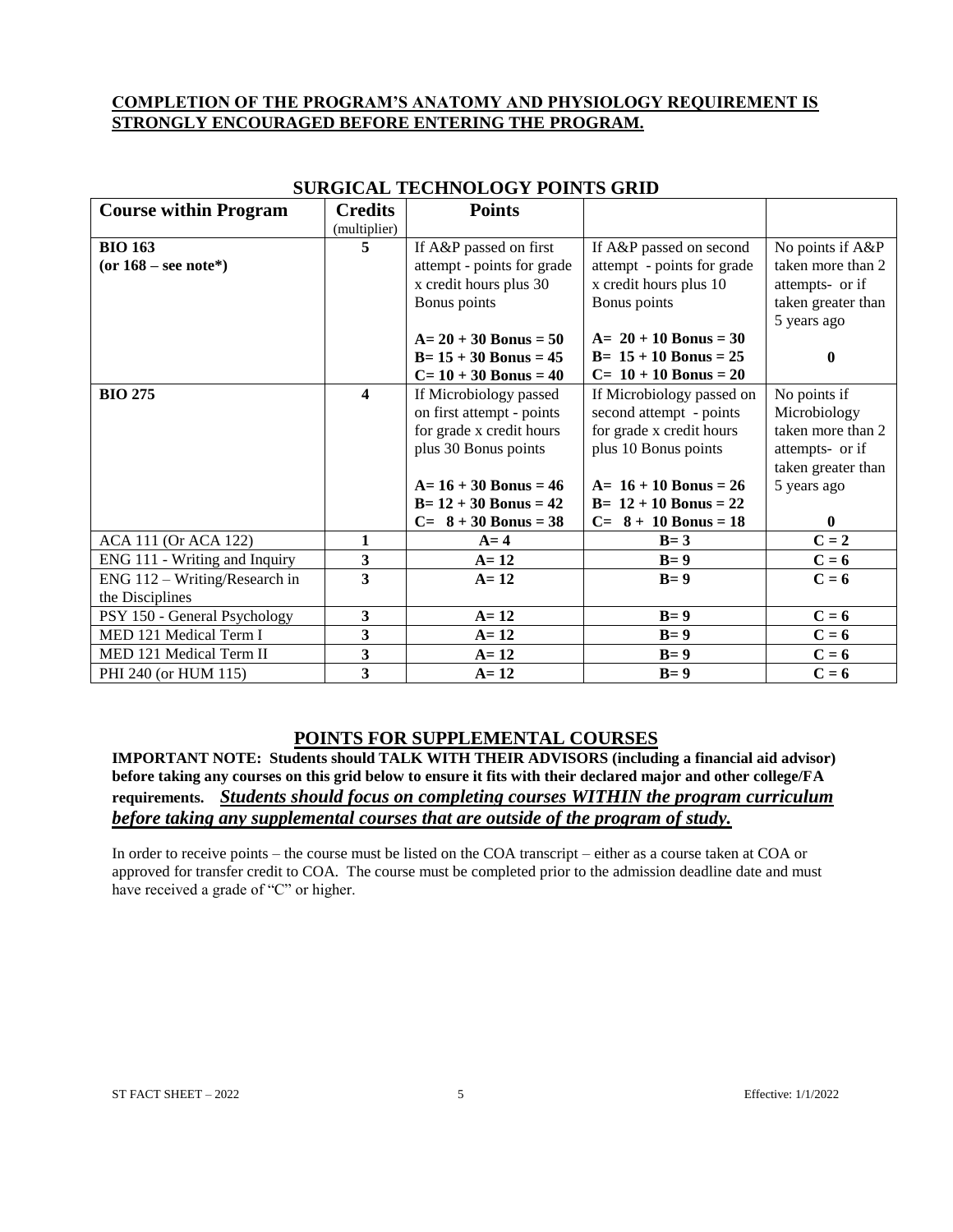## **COMPLETION OF THE PROGRAM'S ANATOMY AND PHYSIOLOGY REQUIREMENT IS STRONGLY ENCOURAGED BEFORE ENTERING THE PROGRAM.**

| <b>Course within Program</b>    | <b>Credits</b>          | <b>Points</b>              |                            |                    |
|---------------------------------|-------------------------|----------------------------|----------------------------|--------------------|
|                                 | (multiplier)            |                            |                            |                    |
| <b>BIO 163</b>                  | 5                       | If A&P passed on first     | If A&P passed on second    | No points if A&P   |
| (or $168$ – see note*)          |                         | attempt - points for grade | attempt - points for grade | taken more than 2  |
|                                 |                         | x credit hours plus 30     | x credit hours plus 10     | attempts- or if    |
|                                 |                         | Bonus points               | Bonus points               | taken greater than |
|                                 |                         |                            |                            | 5 years ago        |
|                                 |                         | $A = 20 + 30$ Bonus = 50   | $A = 20 + 10$ Bonus = 30   |                    |
|                                 |                         | $B=15+30$ Bonus = 45       | $B = 15 + 10$ Bonus = 25   | $\bf{0}$           |
|                                 |                         | $C = 10 + 30$ Bonus = 40   | $C= 10 + 10$ Bonus = 20    |                    |
| <b>BIO 275</b>                  | $\overline{\mathbf{4}}$ | If Microbiology passed     | If Microbiology passed on  | No points if       |
|                                 |                         | on first attempt - points  | second attempt - points    | Microbiology       |
|                                 |                         | for grade x credit hours   | for grade x credit hours   | taken more than 2  |
|                                 |                         | plus 30 Bonus points       | plus 10 Bonus points       | attempts- or if    |
|                                 |                         |                            |                            | taken greater than |
|                                 |                         | $A = 16 + 30$ Bonus = 46   | $A = 16 + 10$ Bonus = 26   | 5 years ago        |
|                                 |                         | $B = 12 + 30$ Bonus = 42   | $B = 12 + 10$ Bonus = 22   |                    |
|                                 |                         | $C = 8 + 30$ Bonus = 38    | $C = 8 + 10$ Bonus = 18    | $\bf{0}$           |
| ACA 111 (Or ACA 122)            | 1                       | $A = 4$                    | $B = 3$                    | $C = 2$            |
| ENG 111 - Writing and Inquiry   | 3                       | $A = 12$                   | $B=9$                      | $C = 6$            |
| $ENG$ 112 – Writing/Research in | $\overline{\mathbf{3}}$ | $A=12$                     | $B=9$                      | $C = 6$            |
| the Disciplines                 |                         |                            |                            |                    |
| PSY 150 - General Psychology    | $\overline{\mathbf{3}}$ | $A=12$                     | $B=9$                      | $C = 6$            |
| MED 121 Medical Term I          | 3                       | $A=12$                     | $B=9$                      | $C = 6$            |
| MED 121 Medical Term II         | 3                       | $A=12$                     | $B=9$                      | $C = 6$            |
| PHI 240 (or HUM 115)            | 3                       | $A = 12$                   | $B=9$                      | $C = 6$            |

## **SURGICAL TECHNOLOGY POINTS GRID**

## **POINTS FOR SUPPLEMENTAL COURSES**

**IMPORTANT NOTE: Students should TALK WITH THEIR ADVISORS (including a financial aid advisor) before taking any courses on this grid below to ensure it fits with their declared major and other college/FA requirements.** *Students should focus on completing courses WITHIN the program curriculum before taking any supplemental courses that are outside of the program of study.* 

In order to receive points – the course must be listed on the COA transcript – either as a course taken at COA or approved for transfer credit to COA. The course must be completed prior to the admission deadline date and must have received a grade of "C" or higher.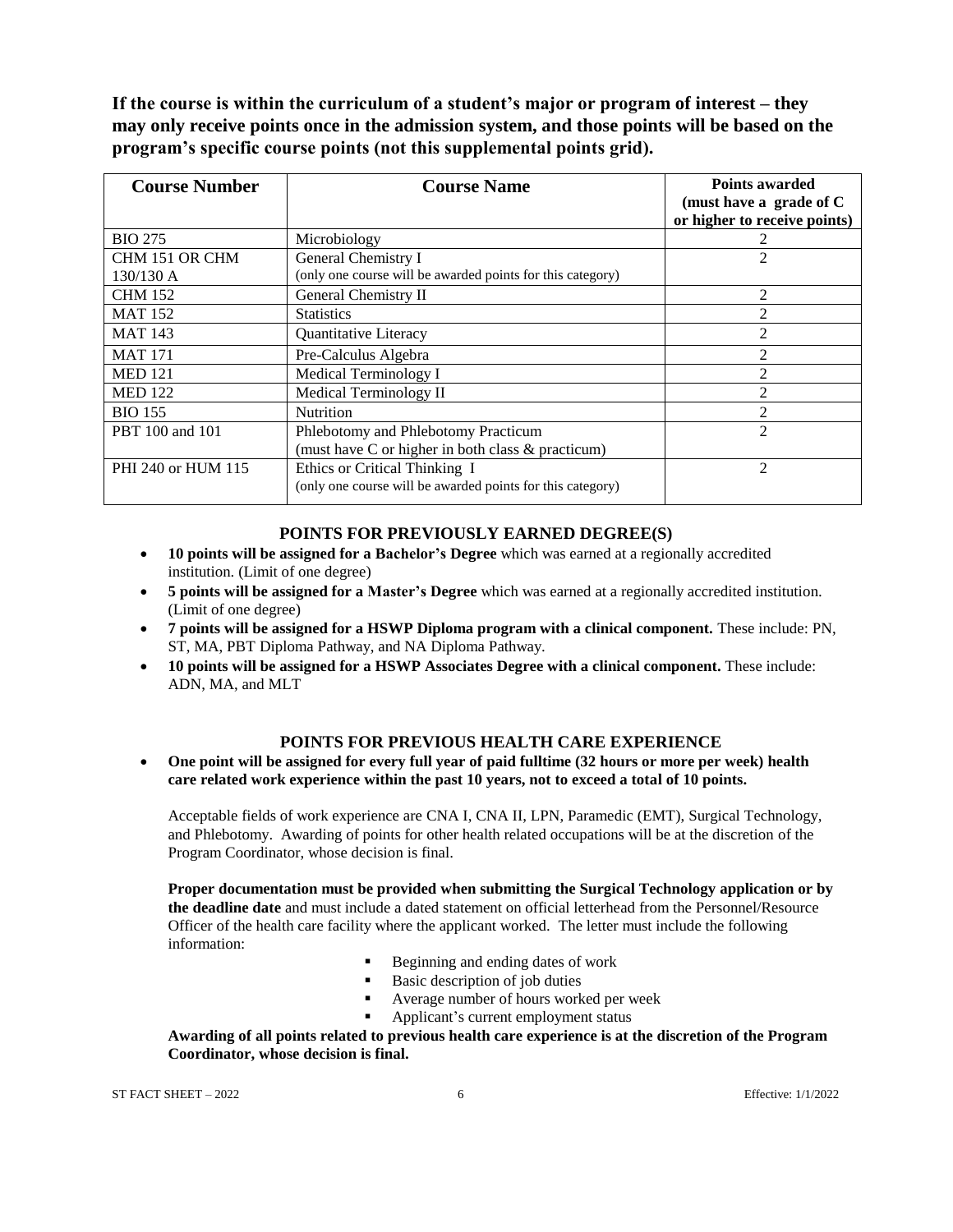**If the course is within the curriculum of a student's major or program of interest – they may only receive points once in the admission system, and those points will be based on the program's specific course points (not this supplemental points grid).** 

| <b>Course Number</b> | <b>Course Name</b>                                         | <b>Points awarded</b><br>(must have a grade of C<br>or higher to receive points) |
|----------------------|------------------------------------------------------------|----------------------------------------------------------------------------------|
| <b>BIO 275</b>       | Microbiology                                               |                                                                                  |
| CHM 151 OR CHM       | General Chemistry I                                        | 2                                                                                |
| $130/130$ A          | (only one course will be awarded points for this category) |                                                                                  |
| <b>CHM 152</b>       | General Chemistry II                                       | $\mathfrak{D}$                                                                   |
| <b>MAT 152</b>       | <b>Statistics</b>                                          |                                                                                  |
| <b>MAT 143</b>       | Quantitative Literacy                                      | $\mathcal{D}_{\mathcal{L}}$                                                      |
| <b>MAT 171</b>       | Pre-Calculus Algebra                                       | 2                                                                                |
| <b>MED 121</b>       | Medical Terminology I                                      | 2                                                                                |
| <b>MED 122</b>       | Medical Terminology II                                     | $\mathfrak{D}$                                                                   |
| <b>BIO 155</b>       | <b>Nutrition</b>                                           | 2                                                                                |
| PBT 100 and 101      | Phlebotomy and Phlebotomy Practicum                        | $\mathfrak{D}$                                                                   |
|                      | (must have C or higher in both class & practicum)          |                                                                                  |
| PHI 240 or HUM 115   | Ethics or Critical Thinking I                              | $\mathfrak{D}$                                                                   |
|                      | (only one course will be awarded points for this category) |                                                                                  |

## **POINTS FOR PREVIOUSLY EARNED DEGREE(S)**

- **10 points will be assigned for a Bachelor's Degree** which was earned at a regionally accredited institution. (Limit of one degree)
- **5 points will be assigned for a Master's Degree** which was earned at a regionally accredited institution. (Limit of one degree)
- **7 points will be assigned for a HSWP Diploma program with a clinical component.** These include: PN, ST, MA, PBT Diploma Pathway, and NA Diploma Pathway.
- **10 points will be assigned for a HSWP Associates Degree with a clinical component.** These include: ADN, MA, and MLT

## **POINTS FOR PREVIOUS HEALTH CARE EXPERIENCE**

 **One point will be assigned for every full year of paid fulltime (32 hours or more per week) health care related work experience within the past 10 years, not to exceed a total of 10 points.**

Acceptable fields of work experience are CNA I, CNA II, LPN, Paramedic (EMT), Surgical Technology, and Phlebotomy. Awarding of points for other health related occupations will be at the discretion of the Program Coordinator, whose decision is final.

**Proper documentation must be provided when submitting the Surgical Technology application or by the deadline date** and must include a dated statement on official letterhead from the Personnel/Resource Officer of the health care facility where the applicant worked. The letter must include the following information:

- Beginning and ending dates of work
- Basic description of job duties
- Average number of hours worked per week
- Applicant's current employment status

**Awarding of all points related to previous health care experience is at the discretion of the Program Coordinator, whose decision is final.**

ST FACT SHEET  $-2022$  6 6 Effective: 1/1/2022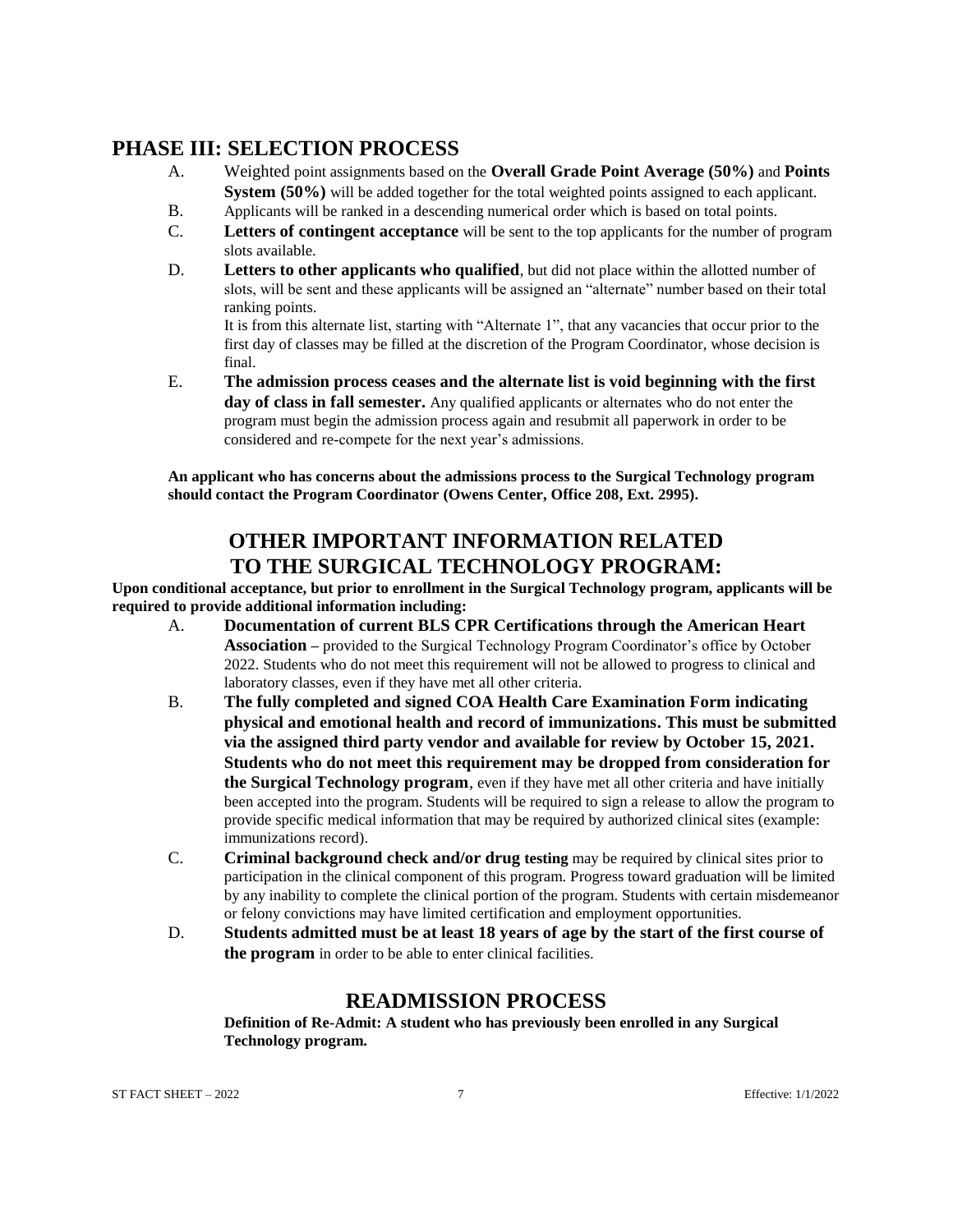# **PHASE III: SELECTION PROCESS**

- A. Weighted point assignments based on the **Overall Grade Point Average (50%)** and **Points System (50%)** will be added together for the total weighted points assigned to each applicant.
- B. Applicants will be ranked in a descending numerical order which is based on total points.
- C. **Letters of contingent acceptance** will be sent to the top applicants for the number of program slots available.
- D. **Letters to other applicants who qualified**, but did not place within the allotted number of slots, will be sent and these applicants will be assigned an "alternate" number based on their total ranking points.

It is from this alternate list, starting with "Alternate 1", that any vacancies that occur prior to the first day of classes may be filled at the discretion of the Program Coordinator, whose decision is final.

E. **The admission process ceases and the alternate list is void beginning with the first day of class in fall semester.** Any qualified applicants or alternates who do not enter the program must begin the admission process again and resubmit all paperwork in order to be considered and re-compete for the next year's admissions.

**An applicant who has concerns about the admissions process to the Surgical Technology program should contact the Program Coordinator (Owens Center, Office 208, Ext. 2995).**

# **OTHER IMPORTANT INFORMATION RELATED TO THE SURGICAL TECHNOLOGY PROGRAM:**

**Upon conditional acceptance, but prior to enrollment in the Surgical Technology program, applicants will be required to provide additional information including:**

- A. **Documentation of current BLS CPR Certifications through the American Heart Association –** provided to the Surgical Technology Program Coordinator's office by October 2022. Students who do not meet this requirement will not be allowed to progress to clinical and laboratory classes, even if they have met all other criteria.
- B. **The fully completed and signed COA Health Care Examination Form indicating physical and emotional health and record of immunizations. This must be submitted via the assigned third party vendor and available for review by October 15, 2021. Students who do not meet this requirement may be dropped from consideration for the Surgical Technology program**, even if they have met all other criteria and have initially been accepted into the program. Students will be required to sign a release to allow the program to provide specific medical information that may be required by authorized clinical sites (example: immunizations record).
- C. **Criminal background check and/or drug testing** may be required by clinical sites prior to participation in the clinical component of this program. Progress toward graduation will be limited by any inability to complete the clinical portion of the program. Students with certain misdemeanor or felony convictions may have limited certification and employment opportunities.
- D. **Students admitted must be at least 18 years of age by the start of the first course of the program** in order to be able to enter clinical facilities.

# **READMISSION PROCESS**

**Definition of Re-Admit: A student who has previously been enrolled in any Surgical Technology program.**